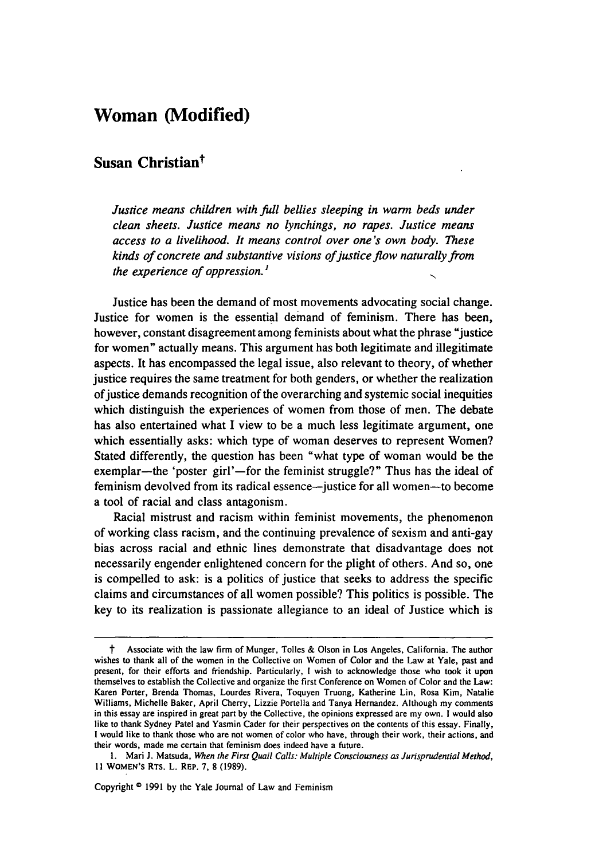## **Woman (Modified)**

## **Susan Christiant**

*Justice means children with full bellies sleeping in warm beds under clean sheets. Justice means no lynchings, no rapes. Justice means access to a livelihood. It means control over one's own body. These kinds of concrete and substantive visions ofjustice flow naturally from the experience of oppression.'*

Justice has been the demand of most movements advocating social change. Justice for women is the essential demand of feminism. There has been, however, constant disagreement among feminists about what the phrase "justice for women" actually means. This argument has both legitimate and illegitimate aspects. It has encompassed the legal issue, also relevant to theory, of whether justice requires the same treatment for both genders, or whether the realization of justice demands recognition of the overarching and systemic social inequities which distinguish the experiences of women from those of men. The debate has also entertained what I view to be a much less legitimate argument, one which essentially asks: which type of woman deserves to represent Women? Stated differently, the question has been "what type of woman would be the exemplar-the 'poster girl'-for the feminist struggle?" Thus has the ideal of feminism devolved from its radical essence--justice for all women--to become a tool of racial and class antagonism.

Racial mistrust and racism within feminist movements, the phenomenon of working class racism, and the continuing prevalence of sexism and anti-gay bias across racial and ethnic lines demonstrate that disadvantage does not necessarily engender enlightened concern for the plight of others. And so, one is compelled to ask: is a politics of justice that seeks to address the specific claims and circumstances of all women possible? This politics is possible. The key to its realization is passionate allegiance to an ideal of Justice which is

Copyright **0 1991** by the Yale Journal of Law and Feminism

Associate with the law firm of Munger, Tolles & Olson in Los Angeles, California. The author wishes to thank all of the women in the Collective on Women of Color and the Law at Yale, past and present, for their efforts and friendship. Particularly, 1 wish to acknowledge those who took it upon themselves to establish the Collective and organize the first Conference on Women of Color and the Law: Karen Porter, Brenda Thomas, Lourdes Rivera, Toquyen Truong, Katherine Lin, Rosa Kim, Natalie Williams, Michelle Baker, April Cherry, Lizzie Portella and Tanya Hernandez. Although my comments in this essay are inspired in great part by the Collective, the opinions expressed are my own. I would also like to thank Sydney Patel and Yasmin Cader for their perspectives on the contents of this essay. Finally, I would like to thank those who are not women of color who have, through their work, their actions, and their words, made me certain that feminism does indeed have a future.

**<sup>1.</sup> Mari J.** Matsuda, When the First Quail Calls: Multiple Consciousness as Jurisprudential Method, **11 WOMEN's** RTs. L. REP. **7, 8 (1989).**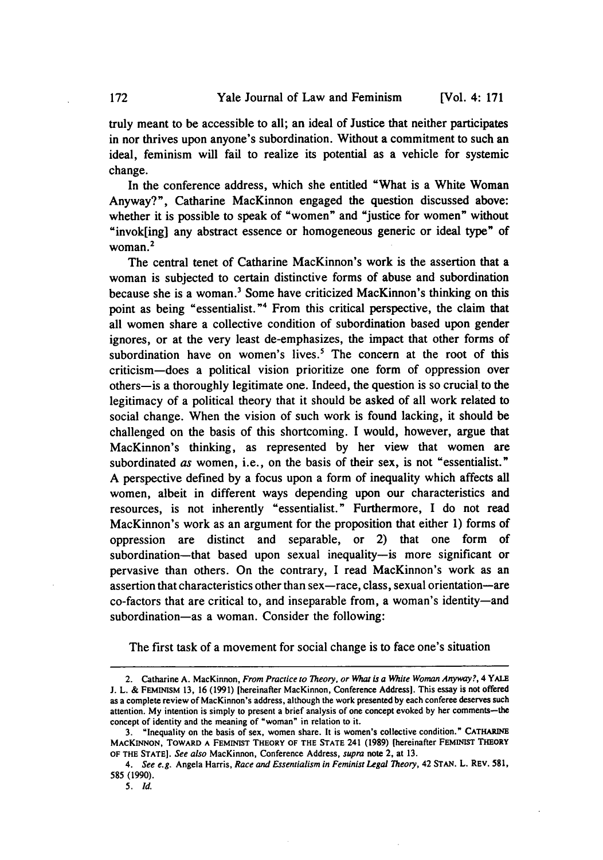truly meant to be accessible to all; an ideal of Justice that neither participates in nor thrives upon anyone's subordination. Without a commitment to such an ideal, feminism will fail to realize its potential as a vehicle for systemic change.

In the conference address, which she entitled "What is a White Woman Anyway?", Catharine MacKinnon engaged the question discussed above: whether it is possible to speak of "women" and "justice for women" without "invok[ing] any abstract essence or homogeneous generic or ideal type" of woman.<sup>2</sup>

The central tenet of Catharine MacKinnon's work is the assertion that a woman is subjected to certain distinctive forms of abuse and subordination because she is a woman.' Some have criticized MacKinnon's thinking on this point as being "essentialist."' From this critical perspective, the claim that all women share a collective condition of subordination based upon gender ignores, or at the very least de-emphasizes, the impact that other forms of subordination have on women's lives.<sup>5</sup> The concern at the root of this criticism-does a political vision prioritize one form of oppression over others-is a thoroughly legitimate one. Indeed, the question is so crucial to the legitimacy of a political theory that it should be asked of all work related to social change. When the vision of such work is found lacking, it should be challenged on the basis of this shortcoming. I would, however, argue that MacKinnon's thinking, as represented by her view that women are subordinated as women, i.e., on the basis of their sex, is not "essentialist." A perspective defined by a focus upon a form of inequality which affects all women, albeit in different ways depending upon our characteristics and resources, is not inherently "essentialist." Furthermore, I do not read MacKinnon's work as an argument for the proposition that either 1) forms of oppression are distinct and separable, or 2) that one form of subordination-that based upon sexual inequality-is more significant or pervasive than others. On the contrary, I read MacKinnon's work as an assertion that characteristics other than sex-race, class, sexual orientation-are co-factors that are critical to, and inseparable from, a woman's identity-and subordination-as a woman. Consider the following:

The first task of a movement for social change is to face one's situation

<sup>2.</sup> Catharine **A.** MacKinnon, *From Practice to Theory, or What is a White Woman Anyway?, 4 YAlE* **J.** L. & FEMINIsM **13,** 16 (1991) [hereinafter MacKinnon, Conference Address]. This essay is not offered as a complete review of MacKinnon's address, although the work presented **by** each conferee deserves such attention. My intention is simply to present a brief analysis of one concept evoked by her comments-the concept of identity and the meaning of "woman" in relation to it.

<sup>3. &</sup>quot;Inequality on the basis of sex, women share. It is women's collective condition." **CATHARINE MACKINNON, TOWARD A FEMINIST THEORY OF THE STATE** 241 **(1989)** (hereinafter FEMINIST THEORY **OF THE STATE].** *See also* MacKinnon, Conference Address, *supra* note 2, at **13.**

*<sup>4.</sup> See e.g.* Angela Harris, *Race and Essentialism in Feminist Legal Theory,* 42 **STAN.** L. REV. 581, 585 (1990).

*<sup>5.</sup> Id.*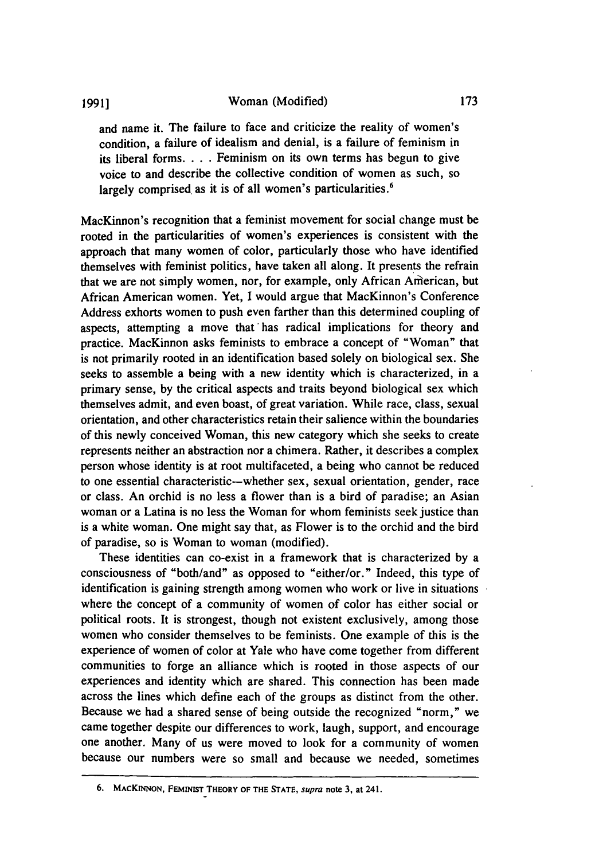and name it. The failure to face and criticize the reality of women's condition, a failure of idealism and denial, is a failure of feminism in its liberal forms. . **.** . Feminism on its own terms has begun to give voice to and describe the collective condition of women as such, so largely comprised as it is of all women's particularities.<sup>6</sup>

MacKinnon's recognition that a feminist movement for social change must be rooted in the particularities of women's experiences is consistent with the approach that many women of color, particularly those who have identified themselves with feminist politics, have taken all along. It presents the refrain that we are not simply women, nor, for example, only African American, but African American women. Yet, I would argue that MacKinnon's Conference Address exhorts women to push even farther than this determined coupling of aspects, attempting a move that'has radical implications for theory and practice. MacKinnon asks feminists to embrace a concept of "Woman" that is not primarily rooted in an identification based solely on biological sex. She seeks to assemble a being with a new identity which is characterized, in a primary sense, by the critical aspects and traits beyond biological sex which themselves admit, and even boast, of great variation. While race, class, sexual orientation, and other characteristics retain their salience within the boundaries of this newly conceived Woman, this new category which she seeks to create represents neither an abstraction nor a chimera. Rather, it describes a complex person whose identity is at root multifaceted, a being who cannot be reduced to one essential characteristic-whether sex, sexual orientation, gender, race or class. An orchid is no less a flower than is a bird of paradise; an Asian woman or a Latina is no less the Woman for whom feminists seek justice than is a white woman. One might say that, as Flower is to the orchid and the bird of paradise, so is Woman to woman (modified).

These identities can co-exist in a framework that is characterized by a consciousness of "both/and" as opposed to "either/or." Indeed, this type of identification is gaining strength among women who work or live in situations where the concept of a community of women of color has either social or political roots. It is strongest, though not existent exclusively, among those women who consider themselves to be feminists. One example of this is the experience of women of color at Yale who have come together from different communities to forge an alliance which is rooted in those aspects of our experiences and identity which are shared. This connection has been made across the lines which define each of the groups as distinct from the other. Because we had a shared sense of being outside the recognized "norm," we came together despite our differences to work, laugh, support, and encourage one another. Many of us were moved to look for a community of women because our numbers were so small and because we needed, sometimes

**<sup>6.</sup> MACKINNON, FEMINIST THEORY OF THE STATE,** supra **note 3,** at 241.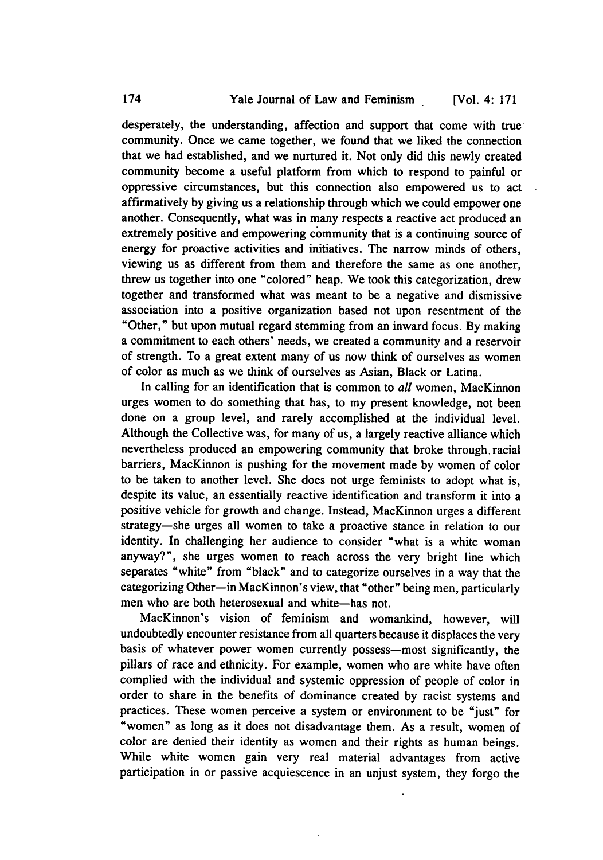desperately, the understanding, affection and support that come with true community. Once we came together, we found that we liked the connection that we had established, and we nurtured it. Not only did this newly created community become a useful platform from which to respond to painful or oppressive circumstances, but this connection also empowered us to act affirmatively by giving us a relationship through which we could empower one another. Consequently, what was in many respects a reactive act produced an extremely positive and empowering community that is a continuing source of energy for proactive activities and initiatives. The narrow minds of others, viewing us as different from them and therefore the same as one another, threw us together into one "colored" heap. We took this categorization, drew together and transformed what was meant to be a negative and dismissive association into a positive organization based not upon resentment of the "Other," but upon mutual regard stemming from an inward focus. By making a commitment to each others' needs, we created a community and a reservoir of strength. To a great extent many of us now think of ourselves as women of color as much as we think of ourselves as Asian, Black or Latina.

In calling for an identification that is common to *all* women, MacKinnon urges women to do something that has, to my present knowledge, not been done on a group level, and rarely accomplished at the individual level. Although the Collective was, for many of us, a largely reactive alliance which nevertheless produced an empowering community that broke through. racial barriers, MacKinnon is pushing for the movement made by women of color to be taken to another level. She does not urge feminists to adopt what is, despite its value, an essentially reactive identification and transform it into a positive vehicle for growth and change. Instead, MacKinnon urges a different strategy-she urges all women to take a proactive stance in relation to our identity. In challenging her audience to consider "what is a white woman anyway?", she urges women to reach across the very bright line which separates "white" from "black" and to categorize ourselves in a way that the categorizing Other-in MacKinnon's view, that "other" being men, particularly men who are both heterosexual and white-has not.

MacKinnon's vision of feminism and womankind, however, will undoubtedly encounter resistance from all quarters because it displaces the very basis of whatever power women currently possess—most significantly, the pillars of race and ethnicity. For example, women who are white have often complied with the individual and systemic oppression of people of color in order to share in the benefits of dominance created by racist systems and practices. These women perceive a system or environment to be "just" for "women" as long as it does not disadvantage them. As a result, women of color are denied their identity as women and their rights as human beings. While white women gain very real material advantages from active participation in or passive acquiescence in an unjust system, they forgo the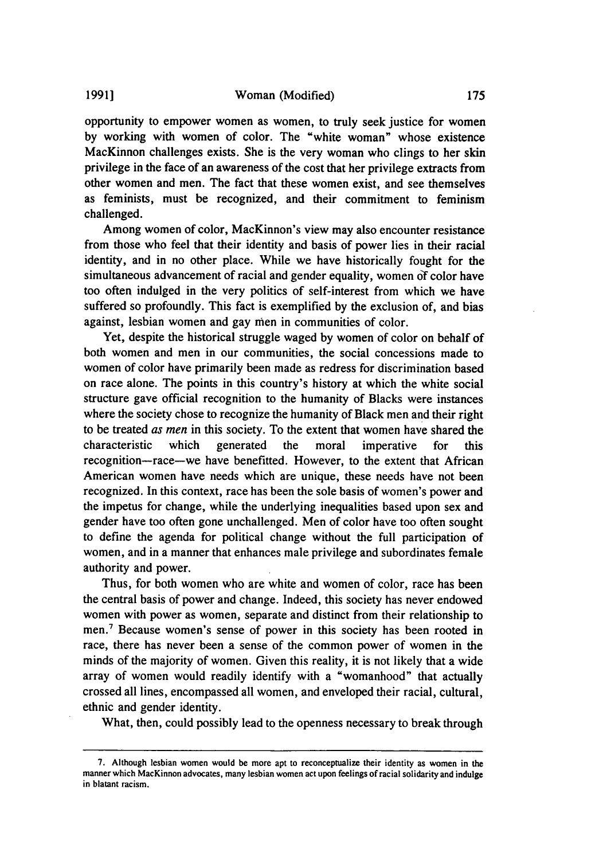opportunity to empower women as women, to truly seek justice for women by working with women of color. The "white woman" whose existence MacKinnon challenges exists. She is the very woman who clings to her skin privilege in the face of an awareness of the cost that her privilege extracts from other women and men. The fact that these women exist, and see themselves as feminists, must be recognized, and their commitment to feminism challenged.

Among women of color, MacKinnon's view may also encounter resistance from those who feel that their identity and basis of power lies in their racial identity, and in no other place. While we have historically fought for the simultaneous advancement of racial and gender equality, women **of** color have too often indulged in the very politics of self-interest from which we have suffered so profoundly. This fact is exemplified by the exclusion of, and bias against, lesbian women and gay men in communities of color.

Yet, despite the historical struggle waged by women of color on behalf of both women and men in our communities, the social concessions made to women of color have primarily been made as redress for discrimination based on race alone. The points in this country's history at which the white social structure gave official recognition to the humanity of Blacks were instances where the society chose to recognize the humanity of Black men and their right to be treated *as men* in this society. To the extent that women have shared the characteristic which generated the moral imperative for this recognition-race-we have benefitted. However, to the extent that African American women have needs which are unique, these needs have not been recognized. In this context, race has been the sole basis of women's power and the impetus for change, while the underlying inequalities based upon sex and gender have too often gone unchallenged. Men of color have too often sought to define the agenda for political change without the full participation of women, and in a manner that enhances male privilege and subordinates female authority and power.

Thus, for both women who are white and women of color, race has been the central basis of power and change. Indeed, this society has never endowed women with power as women, separate and distinct from their relationship to men.7 Because women's sense of power in this society has been rooted in race, there has never been a sense of the common power of women in the minds of the majority of women. Given this reality, it is not likely that a wide array of women would readily identify with a "womanhood" that actually crossed all lines, encompassed all women, and enveloped their racial, cultural, ethnic and gender identity.

What, then, could possibly lead to the openness necessary to break through

<sup>7.</sup> Although lesbian women would be more apt to reconceptualize their identity as women in the manner which MacKinnon advocates, many lesbian women act upon feelings of racial solidarity and indulge in blatant racism.